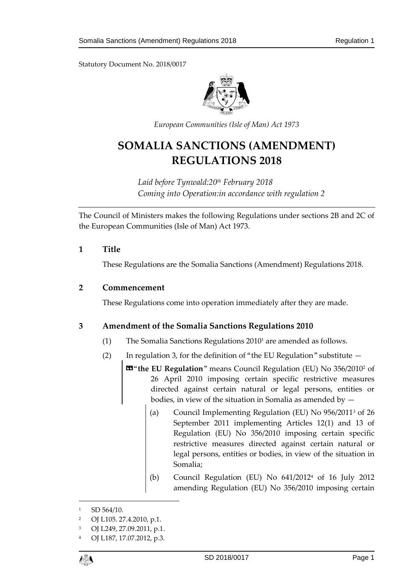

*European Communities (Isle of Man) Act 1973*

# **SOMALIA SANCTIONS (AMENDMENT) REGULATIONS 2018**

*Laid before Tynwald:20th February 2018 Coming into Operation:in accordance with regulation 2*

The Council of Ministers makes the following Regulations under sections 2B and 2C of the European Communities (Isle of Man) Act 1973.

## **1 Title**

These Regulations are the Somalia Sanctions (Amendment) Regulations 2018.

#### **2 Commencement**

These Regulations come into operation immediately after they are made.

## **3 Amendment of the Somalia Sanctions Regulations 2010**

- (1) The Somalia Sanctions Regulations 2010<sup>1</sup> are amended as follows.
- (2) In regulation 3, for the definition of "the EU Regulation" substitute  $-$

«"**the EU Regulation**" means Council Regulation (EU) No 356/2010<sup>2</sup> of 26 April 2010 imposing certain specific restrictive measures directed against certain natural or legal persons, entities or bodies, in view of the situation in Somalia as amended by —

- (a) Council Implementing Regulation (EU) No 956/2011<sup>3</sup> of 26 September 2011 implementing Articles 12(1) and 13 of Regulation (EU) No 356/2010 imposing certain specific restrictive measures directed against certain natural or legal persons, entities or bodies, in view of the situation in Somalia;
- (b) Council Regulation (EU) No 641/2012<sup>4</sup> of 16 July 2012 amending Regulation (EU) No 356/2010 imposing certain

<sup>4</sup> OJ L187, 17.07.2012, p.3.



 $\overline{a}$ 

<sup>1</sup> SD 564/10.

<sup>2</sup> OJ L105. 27.4.2010, p.1.

<sup>3</sup> OJ L249, 27.09.2011, p.1.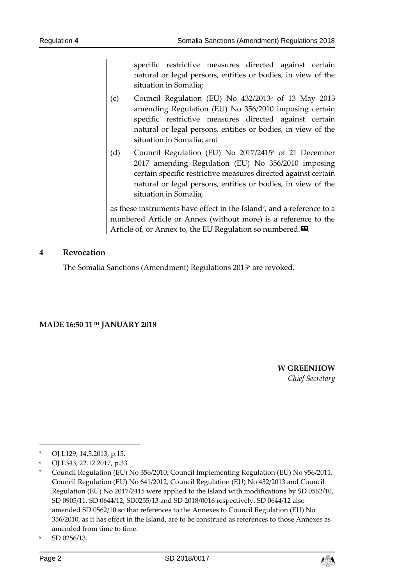specific restrictive measures directed against certain natural or legal persons, entities or bodies, in view of the situation in Somalia;

- (c) Council Regulation (EU) No  $432/2013^5$  of 13 May 2013 amending Regulation (EU) No 356/2010 imposing certain specific restrictive measures directed against certain natural or legal persons, entities or bodies, in view of the situation in Somalia; and
- (d) Council Regulation (EU) No 2017/2415 <sup>6</sup> of 21 December 2017 amending Regulation (EU) No 356/2010 imposing certain specific restrictive measures directed against certain natural or legal persons, entities or bodies, in view of the situation in Somalia,

as these instruments have effect in the Island<sup>7</sup>, and a reference to a numbered Article or Annex (without more) is a reference to the Article of, or Annex to, the EU Regulation so numbered. $\boldsymbol{\mathsf{\Xi}}$ .

#### **4 Revocation**

The Somalia Sanctions (Amendment) Regulations 2013<sup>8</sup> are revoked.

#### **MADE 16:50 11TH JANUARY 2018**

**W GREENHOW** *Chief Secretary*

-



<sup>5</sup> OJ L129, 14.5.2013, p.15.

<sup>6</sup> OJ L343, 22.12.2017, p.33.

<sup>7</sup> Council Regulation (EU) No 356/2010, Council Implementing Regulation (EU) No 956/2011, Council Regulation (EU) No 641/2012, Council Regulation (EU) No 432/2013 and Council Regulation (EU) No 2017/2415 were applied to the Island with modifications by SD 0562/10, SD 0905/11, SD 0644/12, SD0255/13 and SD 2018/0016 respectively. SD 0644/12 also amended SD 0562/10 so that references to the Annexes to Council Regulation (EU) No 356/2010, as it has effect in the Island, are to be construed as references to those Annexes as amended from time to time.

<sup>8</sup> SD 0256/13.